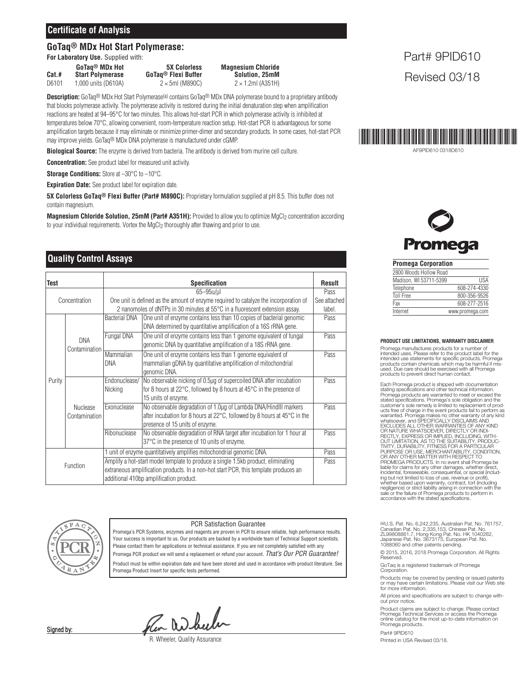#### **Certificate of Analysis**

#### **GoTaq® MDx Hot Start Polymerase:**

**For Laboratory Use.** Supplied with:

D6101 1,000 units (D610A)

**Cat.# Start Polymerase GoTaq® Flexi Buffer Solution, 25mM**

**GoTaq® MDx Hot 5X Colorless Magnesium Chloride**

**Description:** GoTaq® MDx Hot Start Polymerase(a) contains GoTaq® MDx DNA polymerase bound to a proprietary antibody that blocks polymerase activity. The polymerase activity is restored during the initial denaturation step when amplification reactions are heated at 94–95°C for two minutes. This allows hot-start PCR in which polymerase activity is inhibited at temperatures below 70°C, allowing convenient, room-temperature reaction setup. Hot-start PCR is advantageous for some amplification targets because it may eliminate or minimize primer-dimer and secondary products. In some cases, hot-start PCR may improve yields. GoTaq® MDx DNA polymerase is manufactured under cGMP.

**Biological Source:** The enzyme is derived from bacteria. The antibody is derived from murine cell culture.

**Concentration:** See product label for measured unit activity.

**Storage Conditions:** Store at –30°C to –10°C.

**Expiration Date:** See product label for expiration date.

**5X Colorless GoTaq® Flexi Buffer (Part# M890C):** Proprietary formulation supplied at pH 8.5. This buffer does not contain magnesium.

**Magnesium Chloride Solution, 25mM (Part# A351H): Provided to allow you to optimize MgCl<sub>2</sub> concentration according** to your individual requirements. Vortex the MgCl<sub>2</sub> thoroughly after thawing and prior to use.

### **Duality Control Assays** *Promega Corporation*

| Test          |                                  | <b>Specification</b>                                                                                                                                                                                                                                                                         |                                                                                                                                                                                                     | <b>Result</b> |
|---------------|----------------------------------|----------------------------------------------------------------------------------------------------------------------------------------------------------------------------------------------------------------------------------------------------------------------------------------------|-----------------------------------------------------------------------------------------------------------------------------------------------------------------------------------------------------|---------------|
| Concentration |                                  | $65 - 95$ u/ul<br>One unit is defined as the amount of enzyme required to catalyze the incorporation of<br>2 nanomoles of dNTPs in 30 minutes at 55°C in a fluorescent extension assay.                                                                                                      |                                                                                                                                                                                                     |               |
| Purity        | <b>DNA</b><br>Contamination      | <b>Bacterial DNA</b>                                                                                                                                                                                                                                                                         | One unit of enzyme contains less than 10 copies of bacterial genomic<br>DNA determined by quantitative amplification of a 16S rRNA gene.                                                            | Pass          |
|               |                                  | Fungal DNA                                                                                                                                                                                                                                                                                   | One unit of enzyme contains less than 1 genome equivalent of fungal<br>genomic DNA by quantitative amplification of a 18S rRNA gene.                                                                | Pass          |
|               |                                  | Mammalian<br><b>DNA</b>                                                                                                                                                                                                                                                                      | One unit of enzyme contains less than 1 genome equivalent of<br>mammalian gDNA by quantitative amplification of mitochondrial<br>genomic DNA.                                                       | Pass          |
|               | <b>Nuclease</b><br>Contamination | Endonuclease/<br>Nicking                                                                                                                                                                                                                                                                     | No observable nicking of 0.5µg of supercoiled DNA after incubation<br>for 8 hours at 22 $\degree$ C, followed by 8 hours at 45 $\degree$ C in the presence of<br>15 units of enzyme.                | Pass          |
|               |                                  | Exonuclease                                                                                                                                                                                                                                                                                  | No observable degradation of 1.0µg of Lambda DNA/HindIII markers<br>after incubation for 8 hours at $22^{\circ}$ C, followed by 8 hours at $45^{\circ}$ C in the<br>presence of 15 units of enzyme. | Pass          |
|               |                                  | Ribonuclease                                                                                                                                                                                                                                                                                 | No observable degradation of RNA target after incubation for 1 hour at<br>37°C in the presence of 10 units of enzyme.                                                                               | Pass          |
| Function      |                                  | 1 unit of enzyme quantitatively amplifies mitochondrial genomic DNA.<br>Amplify a hot-start model template to produce a single 1.5kb product, eliminating<br>extraneous amplification products. In a non-hot start PCR, this template produces an<br>additional 410bp amplification product. |                                                                                                                                                                                                     | Pass<br>Pass  |



#### PCR Satisfaction Guarantee

Promega's PCR Systems, enzymes and reagents are proven in PCR to ensure reliable, high performance results. Your success is important to us. Our products are backed by a worldwide team of Technical Support scientists. Please contact them for applications or technical assistance. If you are not completely satisfied with any Promega PCR product we will send a replacement or refund your account. *That's Our PCR Guarantee!* Product must be within expiration date and have been stored and used in accordance with product literature. See Promega Product Insert for specific tests performed.

Pen Wheeler

R. Wheeler, Quality Assurance

### Part# 9PID610 Revised 03/18



AF9PID610 0318D610

# **Promega**

| 2800 Woods Hollow Road |                 |
|------------------------|-----------------|
| Madison, WI 53711-5399 | <b>IISA</b>     |
| Telephone              | 608-274-4330    |
| <b>Toll Free</b>       | 800-356-9526    |
| Fax                    | 608-277-2516    |
| Internet               | www.promega.com |

#### **PRODUCT USE LIMITATIONS, WARRANTY DISCLAIMER**

Promega manufactures products for a number of intended uses. Please refer to the product label for the intended use statements for specific products. Promega products contain chemicals which may be harmful if mis-used. Due care should be exercised with all Promega products to prevent direct human contact.

Each Promega product is shipped with documentation stating specifications and other technical information. Promega products are warranted to meet or exceed the<br>stated specifications. Promega's sole obligation and the<br>customer's sole remedy is limited to replacement of prod-<br>ucts free of charge in the event products fail to perf Warranted. Promega makes no other warranty of any kind<br>whatsoever, and SPEGIFICALLY DISCLAIMS AND<br>EXCLUDES ALL OTHER WARRANTIES OF ANY KIND<br>OR NATURE WHATSOEVER, DIRECTLY OR INDI-<br>RECTLY, EXPRESS OR IMPLIED, INCLUDING, WIT PROMEGA PRODUCTS. In no event shall Promega be liable for claims for any other damages, whether direct, incidental, foreseeable, consequential, or special (includ-<br>ing but not limited to loss of use, revenue or profit),<br>whether based upon warranty, contract, tort (including<br>negligence) or strict liability arising in connecti sale or the failure of Promega products to perform in accordance with the stated specifications.

(@U.S. Pat. No. 6,242,235, Australian Pat. No. 761757,<br>Canadian Pat. No. 2,335,153, Chinese Pat. No.<br>Z1.99808861.7, Hong Kong Pat. No. HK 1040262,<br>Japanese Pat. No. 3673175, European Pat. No.<br>1088060 and other patents pend

© 2015, 2016, 2018 Promega Corporation. All Rights Reserved.

GoTaq is a registered trademark of Promega Corporation.

Products may be covered by pending or issued patents or may have certain limitations. Please visit our Web site for more information.

All prices and specifications are subject to change without prior notice.

Product claims are subject to change. Please contact Promega Technical Services or access the Promega online catalog for the most up-to-date information on Promega products.

Part# 9PID610 Printed in USA Revised 03/18.

Signed by: